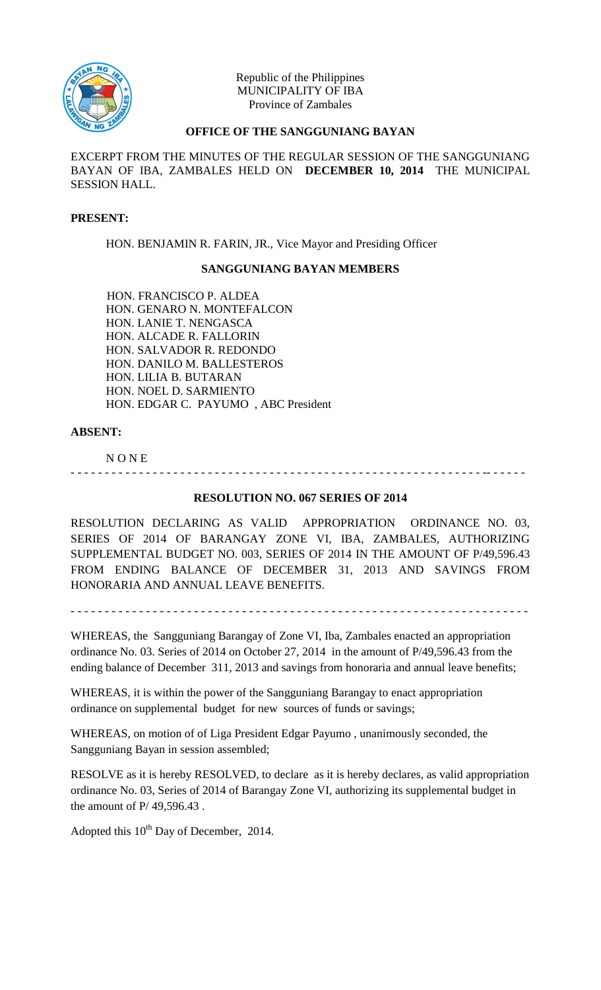

Republic of the Philippines MUNICIPALITY OF IBA Province of Zambales

## **OFFICE OF THE SANGGUNIANG BAYAN**

EXCERPT FROM THE MINUTES OF THE REGULAR SESSION OF THE SANGGUNIANG BAYAN OF IBA, ZAMBALES HELD ON **DECEMBER 10, 2014** THE MUNICIPAL SESSION HALL.

#### **PRESENT:**

HON. BENJAMIN R. FARIN, JR., Vice Mayor and Presiding Officer

## **SANGGUNIANG BAYAN MEMBERS**

HON. FRANCISCO P. ALDEA HON. GENARO N. MONTEFALCON HON. LANIE T. NENGASCA HON. ALCADE R. FALLORIN HON. SALVADOR R. REDONDO HON. DANILO M. BALLESTEROS HON. LILIA B. BUTARAN HON. NOEL D. SARMIENTO HON. EDGAR C. PAYUMO , ABC President

#### **ABSENT:**

N O N E

# **RESOLUTION NO. 067 SERIES OF 2014**

- - - - - - - - - - - - - - - - - - - - - - - - - - - - - - - - - - - - - - - - - - - - - - - - - - - - - - - - - - - - -- - - - - -

RESOLUTION DECLARING AS VALID APPROPRIATION ORDINANCE NO. 03, SERIES OF 2014 OF BARANGAY ZONE VI, IBA, ZAMBALES, AUTHORIZING SUPPLEMENTAL BUDGET NO. 003, SERIES OF 2014 IN THE AMOUNT OF P/49,596.43 FROM ENDING BALANCE OF DECEMBER 31, 2013 AND SAVINGS FROM HONORARIA AND ANNUAL LEAVE BENEFITS.

- - - - - - - - - - - - - - - - - - - - - - - - - - - - - - - - - - - - - - - - - - - - - - - - - - - - - - - - - - - - - - - - - - -

WHEREAS, the Sangguniang Barangay of Zone VI, Iba, Zambales enacted an appropriation ordinance No. 03. Series of 2014 on October 27, 2014 in the amount of P/49,596.43 from the ending balance of December 311, 2013 and savings from honoraria and annual leave benefits;

WHEREAS, it is within the power of the Sangguniang Barangay to enact appropriation ordinance on supplemental budget for new sources of funds or savings;

WHEREAS, on motion of of Liga President Edgar Payumo , unanimously seconded, the Sangguniang Bayan in session assembled;

RESOLVE as it is hereby RESOLVED, to declare as it is hereby declares, as valid appropriation ordinance No. 03, Series of 2014 of Barangay Zone VI, authorizing its supplemental budget in the amount of P/ 49,596.43 .

Adopted this  $10^{th}$  Day of December, 2014.